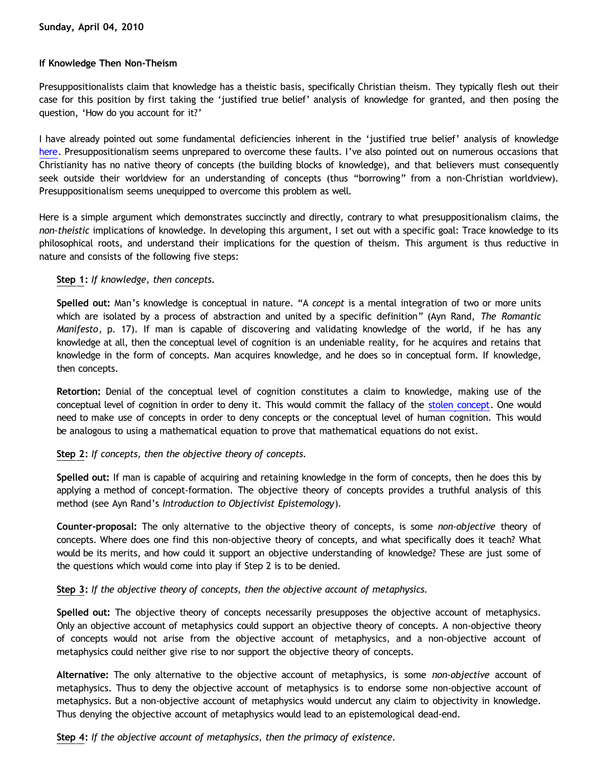# **If Knowledge Then Non-Theism**

Presuppositionalists claim that knowledge has a theistic basis, specifically Christian theism. They typically flesh out their case for this position by first taking the 'justified true belief' analysis of knowledge for granted, and then posing the question, 'How do you account for it?'

I have already pointed out some fundamental deficiencies inherent in the 'justified true belief' analysis of knowledge [here](http://bahnsenburner.blogspot.com/2009/07/chris-bolt-on-conditions-of-knowledge.html). Presuppositionalism seems unprepared to overcome these faults. I've also pointed out on numerous occasions that Christianity has no native theory of concepts (the building blocks of knowledge), and that believers must consequently seek outside their worldview for an understanding of concepts (thus "borrowing" from a non-Christian worldview). Presuppositionalism seems unequipped to overcome this problem as well.

Here is a simple argument which demonstrates succinctly and directly, contrary to what presuppositionalism claims, the *non-theistic* implications of knowledge. In developing this argument, I set out with a specific goal: Trace knowledge to its philosophical roots, and understand their implications for the question of theism. This argument is thus reductive in nature and consists of the following five steps:

## **Step 1:** *If knowledge, then concepts.*

**Spelled out:** Man's knowledge is conceptual in nature. "A *concept* is a mental integration of two or more units which are isolated by a process of abstraction and united by a specific definition" (Ayn Rand, *The Romantic Manifesto*, p. 17). If man is capable of discovering and validating knowledge of the world, if he has any knowledge at all, then the conceptual level of cognition is an undeniable reality, for he acquires and retains that knowledge in the form of concepts. Man acquires knowledge, and he does so in conceptual form. If knowledge, then concepts.

**Retortion:** Denial of the conceptual level of cognition constitutes a claim to knowledge, making use of the conceptual level of cognition in order to deny it. This would commit the fallacy of the [stolen concept](http://bahnsenburner.blogspot.com/2008/06/stolen-concepts-and-intellectual.html). One would need to make use of concepts in order to deny concepts or the conceptual level of human cognition. This would be analogous to using a mathematical equation to prove that mathematical equations do not exist.

# **Step 2:** *If concepts, then the objective theory of concepts.*

**Spelled out:** If man is capable of acquiring and retaining knowledge in the form of concepts, then he does this by applying a method of concept-formation. The objective theory of concepts provides a truthful analysis of this method (see Ayn Rand's *Introduction to Objectivist Epistemology*).

**Counter-proposal:** The only alternative to the objective theory of concepts, is some *non-objective* theory of concepts. Where does one find this non-objective theory of concepts, and what specifically does it teach? What would be its merits, and how could it support an objective understanding of knowledge? These are just some of the questions which would come into play if Step 2 is to be denied.

#### **Step 3:** *If the objective theory of concepts, then the objective account of metaphysics.*

**Spelled out:** The objective theory of concepts necessarily presupposes the objective account of metaphysics. Only an objective account of metaphysics could support an objective theory of concepts. A non-objective theory of concepts would not arise from the objective account of metaphysics, and a non-objective account of metaphysics could neither give rise to nor support the objective theory of concepts.

**Alternative:** The only alternative to the objective account of metaphysics, is some *non-objective* account of metaphysics. Thus to deny the objective account of metaphysics is to endorse some non-objective account of metaphysics. But a non-objective account of metaphysics would undercut any claim to objectivity in knowledge. Thus denying the objective account of metaphysics would lead to an epistemological dead-end.

#### **Step 4:** *If the objective account of metaphysics, then the primacy of existence.*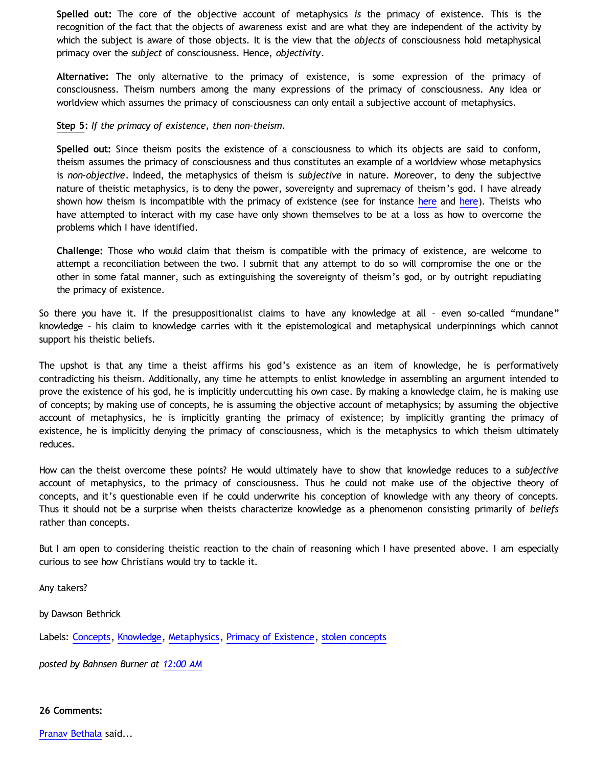**Spelled out:** The core of the objective account of metaphysics *is* the primacy of existence. This is the recognition of the fact that the objects of awareness exist and are what they are independent of the activity by which the subject is aware of those objects. It is the view that the *objects* of consciousness hold metaphysical primacy over the *subject* of consciousness. Hence, *objectivity*.

**Alternative:** The only alternative to the primacy of existence, is some expression of the primacy of consciousness. Theism numbers among the many expressions of the primacy of consciousness. Any idea or worldview which assumes the primacy of consciousness can only entail a subjective account of metaphysics.

### **Step 5:** *If the primacy of existence, then non-theism.*

**Spelled out:** Since theism posits the existence of a consciousness to which its objects are said to conform, theism assumes the primacy of consciousness and thus constitutes an example of a worldview whose metaphysics is *non-objective*. Indeed, the metaphysics of theism is *subjective* in nature. Moreover, to deny the subjective nature of theistic metaphysics, is to deny the power, sovereignty and supremacy of theism's god. I have already shown how theism is incompatible with the primacy of existence (see for instance [here](http://bahnsenburner.blogspot.com/2008/12/inherent-subjectivism-of-god-belief.html) and [here](http://bahnsenburner.blogspot.com/2010/02/how-theism-violates-primacy-of.html)). Theists who have attempted to interact with my case have only shown themselves to be at a loss as how to overcome the problems which I have identified.

**Challenge:** Those who would claim that theism is compatible with the primacy of existence, are welcome to attempt a reconciliation between the two. I submit that any attempt to do so will compromise the one or the other in some fatal manner, such as extinguishing the sovereignty of theism's god, or by outright repudiating the primacy of existence.

So there you have it. If the presuppositionalist claims to have any knowledge at all – even so-called "mundane" knowledge – his claim to knowledge carries with it the epistemological and metaphysical underpinnings which cannot support his theistic beliefs.

The upshot is that any time a theist affirms his god's existence as an item of knowledge, he is performatively contradicting his theism. Additionally, any time he attempts to enlist knowledge in assembling an argument intended to prove the existence of his god, he is implicitly undercutting his own case. By making a knowledge claim, he is making use of concepts; by making use of concepts, he is assuming the objective account of metaphysics; by assuming the objective account of metaphysics, he is implicitly granting the primacy of existence; by implicitly granting the primacy of existence, he is implicitly denying the primacy of consciousness, which is the metaphysics to which theism ultimately reduces.

How can the theist overcome these points? He would ultimately have to show that knowledge reduces to a *subjective* account of metaphysics, to the primacy of consciousness. Thus he could not make use of the objective theory of concepts, and it's questionable even if he could underwrite his conception of knowledge with any theory of concepts. Thus it should not be a surprise when theists characterize knowledge as a phenomenon consisting primarily of *beliefs* rather than concepts.

But I am open to considering theistic reaction to the chain of reasoning which I have presented above. I am especially curious to see how Christians would try to tackle it.

Any takers?

by Dawson Bethrick

Labels: [Concepts,](http://bahnsenburner.blogspot.com/search/label/Concepts) [Knowledge](http://bahnsenburner.blogspot.com/search/label/Knowledge), [Metaphysics](http://bahnsenburner.blogspot.com/search/label/Metaphysics), [Primacy of Existence,](http://bahnsenburner.blogspot.com/search/label/Primacy%20of%20Existence) [stolen concepts](http://bahnsenburner.blogspot.com/search/label/stolen%20concepts)

*posted by Bahnsen Burner at [12:00 AM](http://bahnsenburner.blogspot.com/2010/04/if-knowledge-then-non-theism.html)*

**26 Comments:**

[Pranav Bethala](http://www.blogger.com/profile/03136722101076701265) said...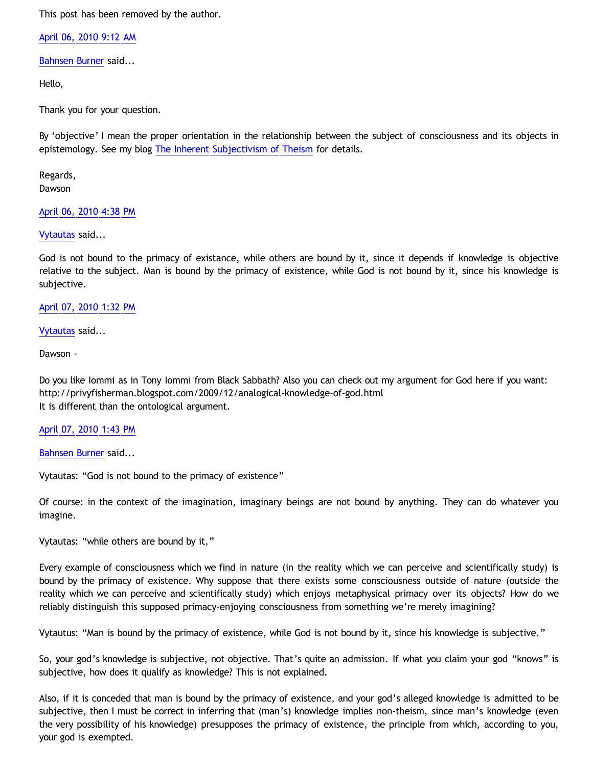This post has been removed by the author.

[April 06, 2010 9:12 AM](http://bahnsenburner.blogspot.com/2010/04/1104827342901757571)

[Bahnsen Burner](http://www.blogger.com/profile/11030029491768748360) said...

Hello,

Thank you for your question.

By 'objective' I mean the proper orientation in the relationship between the subject of consciousness and its objects in epistemology. See my blog [The Inherent Subjectivism of Theism](http://bahnsenburner.blogspot.com/2008/12/inherent-subjectivism-of-god-belief.html) for details.

Regards, Dawson

[April 06, 2010 4:38 PM](http://bahnsenburner.blogspot.com/2010/04/8510370001926516975)

[Vytautas](http://www.blogger.com/profile/10563655929016752682) said...

God is not bound to the primacy of existance, while others are bound by it, since it depends if knowledge is objective relative to the subject. Man is bound by the primacy of existence, while God is not bound by it, since his knowledge is subjective.

[April 07, 2010 1:32 PM](http://bahnsenburner.blogspot.com/2010/04/1693568377540000353)

[Vytautas](http://www.blogger.com/profile/10563655929016752682) said...

Dawson -

Do you like Iommi as in Tony Iommi from Black Sabbath? Also you can check out my argument for God here if you want: <http://privyfisherman.blogspot.com/2009/12/analogical-knowledge-of-god.html> It is different than the ontological argument.

#### [April 07, 2010 1:43 PM](http://bahnsenburner.blogspot.com/2010/04/3997857849583603154)

[Bahnsen Burner](http://www.blogger.com/profile/11030029491768748360) said...

Vytautas: "God is not bound to the primacy of existence"

Of course: in the context of the imagination, imaginary beings are not bound by anything. They can do whatever you imagine.

Vytautas: "while others are bound by it,"

Every example of consciousness which we find in nature (in the reality which we can perceive and scientifically study) is bound by the primacy of existence. Why suppose that there exists some consciousness outside of nature (outside the reality which we can perceive and scientifically study) which enjoys metaphysical primacy over its objects? How do we reliably distinguish this supposed primacy-enjoying consciousness from something we're merely imagining?

Vytautus: "Man is bound by the primacy of existence, while God is not bound by it, since his knowledge is subjective."

So, your god's knowledge is subjective, not objective. That's quite an admission. If what you claim your god "knows" is subjective, how does it qualify as knowledge? This is not explained.

Also, if it is conceded that man is bound by the primacy of existence, and your god's alleged knowledge is admitted to be subjective, then I must be correct in inferring that (man's) knowledge implies non-theism, since man's knowledge (even the very possibility of his knowledge) presupposes the primacy of existence, the principle from which, according to you, your god is exempted.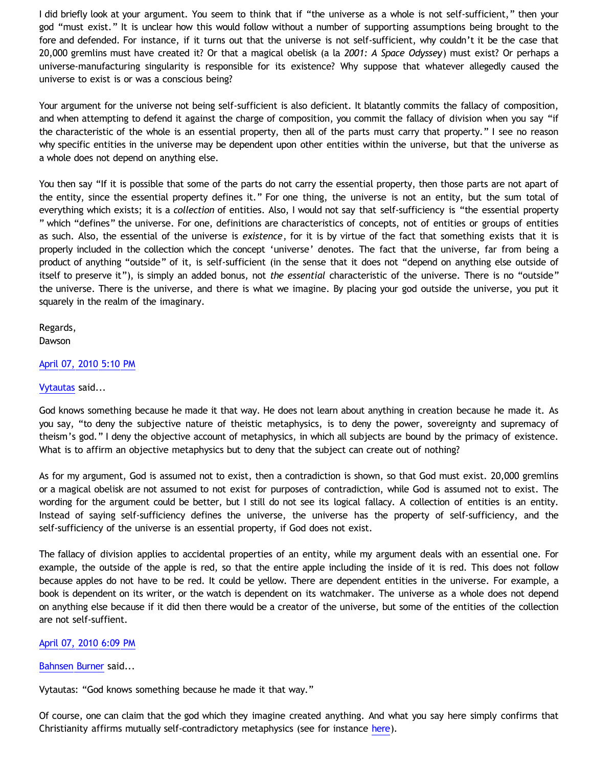I did briefly look at your argument. You seem to think that if "the universe as a whole is not self-sufficient," then your god "must exist." It is unclear how this would follow without a number of supporting assumptions being brought to the fore and defended. For instance, if it turns out that the universe is not self-sufficient, why couldn't it be the case that 20,000 gremlins must have created it? Or that a magical obelisk (a la *2001: A Space Odyssey*) must exist? Or perhaps a universe-manufacturing singularity is responsible for its existence? Why suppose that whatever allegedly caused the universe to exist is or was a conscious being?

Your argument for the universe not being self-sufficient is also deficient. It blatantly commits the fallacy of composition, and when attempting to defend it against the charge of composition, you commit the fallacy of division when you say "if the characteristic of the whole is an essential property, then all of the parts must carry that property." I see no reason why specific entities in the universe may be dependent upon other entities within the universe, but that the universe as a whole does not depend on anything else.

You then say "If it is possible that some of the parts do not carry the essential property, then those parts are not apart of the entity, since the essential property defines it." For one thing, the universe is not an entity, but the sum total of everything which exists; it is a *collection* of entities. Also, I would not say that self-sufficiency is "the essential property " which "defines" the universe. For one, definitions are characteristics of concepts, not of entities or groups of entities as such. Also, the essential of the universe is *existence*, for it is by virtue of the fact that something exists that it is properly included in the collection which the concept 'universe' denotes. The fact that the universe, far from being a product of anything "outside" of it, is self-sufficient (in the sense that it does not "depend on anything else outside of itself to preserve it"), is simply an added bonus, not *the essential* characteristic of the universe. There is no "outside" the universe. There is the universe, and there is what we imagine. By placing your god outside the universe, you put it squarely in the realm of the imaginary.

Regards, Dawson

## [April 07, 2010 5:10 PM](http://bahnsenburner.blogspot.com/2010/04/6826124758750265604)

### [Vytautas](http://www.blogger.com/profile/10563655929016752682) said...

God knows something because he made it that way. He does not learn about anything in creation because he made it. As you say, "to deny the subjective nature of theistic metaphysics, is to deny the power, sovereignty and supremacy of theism's god." I deny the objective account of metaphysics, in which all subjects are bound by the primacy of existence. What is to affirm an objective metaphysics but to deny that the subject can create out of nothing?

As for my argument, God is assumed not to exist, then a contradiction is shown, so that God must exist. 20,000 gremlins or a magical obelisk are not assumed to not exist for purposes of contradiction, while God is assumed not to exist. The wording for the argument could be better, but I still do not see its logical fallacy. A collection of entities is an entity. Instead of saying self-sufficiency defines the universe, the universe has the property of self-sufficiency, and the self-sufficiency of the universe is an essential property, if God does not exist.

The fallacy of division applies to accidental properties of an entity, while my argument deals with an essential one. For example, the outside of the apple is red, so that the entire apple including the inside of it is red. This does not follow because apples do not have to be red. It could be yellow. There are dependent entities in the universe. For example, a book is dependent on its writer, or the watch is dependent on its watchmaker. The universe as a whole does not depend on anything else because if it did then there would be a creator of the universe, but some of the entities of the collection are not self-suffient.

# [April 07, 2010 6:09 PM](http://bahnsenburner.blogspot.com/2010/04/298914153662781829)

# [Bahnsen Burner](http://www.blogger.com/profile/11030029491768748360) said...

Vytautas: "God knows something because he made it that way."

Of course, one can claim that the god which they imagine created anything. And what you say here simply confirms that Christianity affirms mutually self-contradictory metaphysics (see for instance [here\)](http://bahnsenburner.blogspot.com/2006/03/confessions-of-vantillian-subjectivist.html).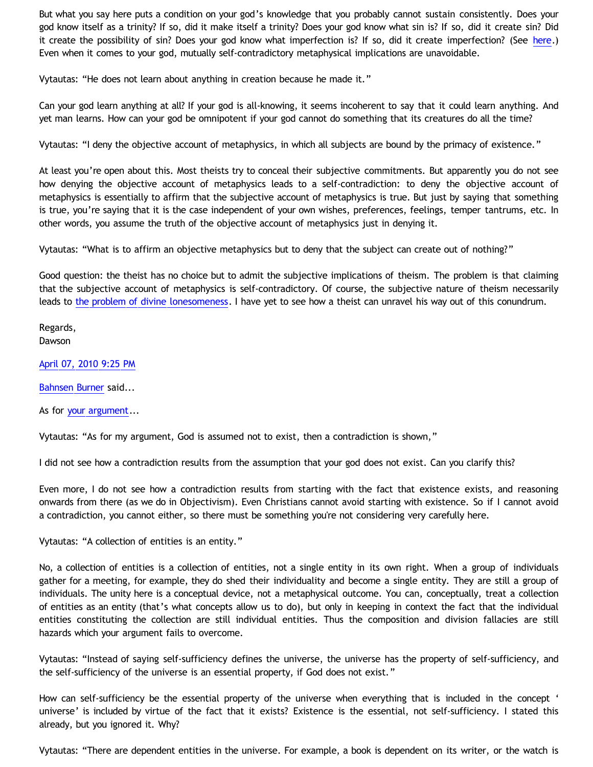But what you say here puts a condition on your god's knowledge that you probably cannot sustain consistently. Does your god know itself as a trinity? If so, did it make itself a trinity? Does your god know what sin is? If so, did it create sin? Did it create the possibility of sin? Does your god know what imperfection is? If so, did it create imperfection? (See [here](http://bahnsenburner.blogspot.com/2009/03/was-adam-created-perfect.html).) Even when it comes to your god, mutually self-contradictory metaphysical implications are unavoidable.

Vytautas: "He does not learn about anything in creation because he made it."

Can your god learn anything at all? If your god is all-knowing, it seems incoherent to say that it could learn anything. And yet man learns. How can your god be omnipotent if your god cannot do something that its creatures do all the time?

Vytautas: "I deny the objective account of metaphysics, in which all subjects are bound by the primacy of existence."

At least you're open about this. Most theists try to conceal their subjective commitments. But apparently you do not see how denying the objective account of metaphysics leads to a self-contradiction: to deny the objective account of metaphysics is essentially to affirm that the subjective account of metaphysics is true. But just by saying that something is true, you're saying that it is the case independent of your own wishes, preferences, feelings, temper tantrums, etc. In other words, you assume the truth of the objective account of metaphysics just in denying it.

Vytautas: "What is to affirm an objective metaphysics but to deny that the subject can create out of nothing?"

Good question: the theist has no choice but to admit the subjective implications of theism. The problem is that claiming that the subjective account of metaphysics is self-contradictory. Of course, the subjective nature of theism necessarily leads to [the problem of divine lonesomeness](http://bahnsenburner.blogspot.com/2008/07/before-beginning-problem-of-divine.html). I have yet to see how a theist can unravel his way out of this conundrum.

Regards, Dawson

[April 07, 2010 9:25 PM](http://bahnsenburner.blogspot.com/2010/04/6695152774774712708)

[Bahnsen Burner](http://www.blogger.com/profile/11030029491768748360) said...

As for [your argument.](http://privyfisherman.blogspot.com/2009/12/analogical-knowledge-of-god.html)..

Vytautas: "As for my argument, God is assumed not to exist, then a contradiction is shown,"

I did not see how a contradiction results from the assumption that your god does not exist. Can you clarify this?

Even more, I do not see how a contradiction results from starting with the fact that existence exists, and reasoning onwards from there (as we do in Objectivism). Even Christians cannot avoid starting with existence. So if I cannot avoid a contradiction, you cannot either, so there must be something you're not considering very carefully here.

Vytautas: "A collection of entities is an entity."

No, a collection of entities is a collection of entities, not a single entity in its own right. When a group of individuals gather for a meeting, for example, they do shed their individuality and become a single entity. They are still a group of individuals. The unity here is a conceptual device, not a metaphysical outcome. You can, conceptually, treat a collection of entities as an entity (that's what concepts allow us to do), but only in keeping in context the fact that the individual entities constituting the collection are still individual entities. Thus the composition and division fallacies are still hazards which your argument fails to overcome.

Vytautas: "Instead of saying self-sufficiency defines the universe, the universe has the property of self-sufficiency, and the self-sufficiency of the universe is an essential property, if God does not exist."

How can self-sufficiency be the essential property of the universe when everything that is included in the concept ' universe' is included by virtue of the fact that it exists? Existence is the essential, not self-sufficiency. I stated this already, but you ignored it. Why?

Vytautas: "There are dependent entities in the universe. For example, a book is dependent on its writer, or the watch is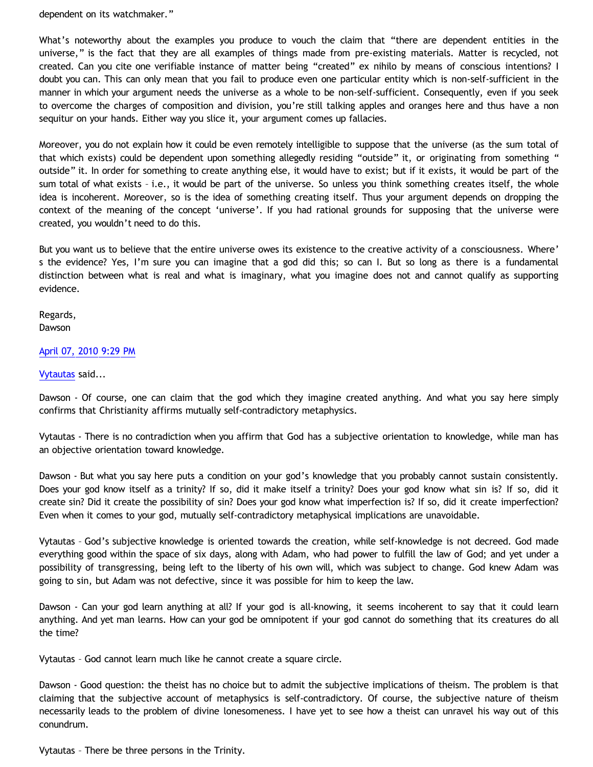dependent on its watchmaker."

What's noteworthy about the examples you produce to vouch the claim that "there are dependent entities in the universe," is the fact that they are all examples of things made from pre-existing materials. Matter is recycled, not created. Can you cite one verifiable instance of matter being "created" ex nihilo by means of conscious intentions? I doubt you can. This can only mean that you fail to produce even one particular entity which is non-self-sufficient in the manner in which your argument needs the universe as a whole to be non-self-sufficient. Consequently, even if you seek to overcome the charges of composition and division, you're still talking apples and oranges here and thus have a non sequitur on your hands. Either way you slice it, your argument comes up fallacies.

Moreover, you do not explain how it could be even remotely intelligible to suppose that the universe (as the sum total of that which exists) could be dependent upon something allegedly residing "outside" it, or originating from something " outside" it. In order for something to create anything else, it would have to exist; but if it exists, it would be part of the sum total of what exists – i.e., it would be part of the universe. So unless you think something creates itself, the whole idea is incoherent. Moreover, so is the idea of something creating itself. Thus your argument depends on dropping the context of the meaning of the concept 'universe'. If you had rational grounds for supposing that the universe were created, you wouldn't need to do this.

But you want us to believe that the entire universe owes its existence to the creative activity of a consciousness. Where' s the evidence? Yes, I'm sure you can imagine that a god did this; so can I. But so long as there is a fundamental distinction between what is real and what is imaginary, what you imagine does not and cannot qualify as supporting evidence.

Regards, **Dawson** 

## [April 07, 2010 9:29 PM](http://bahnsenburner.blogspot.com/2010/04/5351876186813017506)

[Vytautas](http://www.blogger.com/profile/10563655929016752682) said...

Dawson - Of course, one can claim that the god which they imagine created anything. And what you say here simply confirms that Christianity affirms mutually self-contradictory metaphysics.

Vytautas - There is no contradiction when you affirm that God has a subjective orientation to knowledge, while man has an objective orientation toward knowledge.

Dawson - But what you say here puts a condition on your god's knowledge that you probably cannot sustain consistently. Does your god know itself as a trinity? If so, did it make itself a trinity? Does your god know what sin is? If so, did it create sin? Did it create the possibility of sin? Does your god know what imperfection is? If so, did it create imperfection? Even when it comes to your god, mutually self-contradictory metaphysical implications are unavoidable.

Vytautas – God's subjective knowledge is oriented towards the creation, while self-knowledge is not decreed. God made everything good within the space of six days, along with Adam, who had power to fulfill the law of God; and yet under a possibility of transgressing, being left to the liberty of his own will, which was subject to change. God knew Adam was going to sin, but Adam was not defective, since it was possible for him to keep the law.

Dawson - Can your god learn anything at all? If your god is all-knowing, it seems incoherent to say that it could learn anything. And yet man learns. How can your god be omnipotent if your god cannot do something that its creatures do all the time?

Vytautas – God cannot learn much like he cannot create a square circle.

Dawson - Good question: the theist has no choice but to admit the subjective implications of theism. The problem is that claiming that the subjective account of metaphysics is self-contradictory. Of course, the subjective nature of theism necessarily leads to the problem of divine lonesomeness. I have yet to see how a theist can unravel his way out of this conundrum.

Vytautas – There be three persons in the Trinity.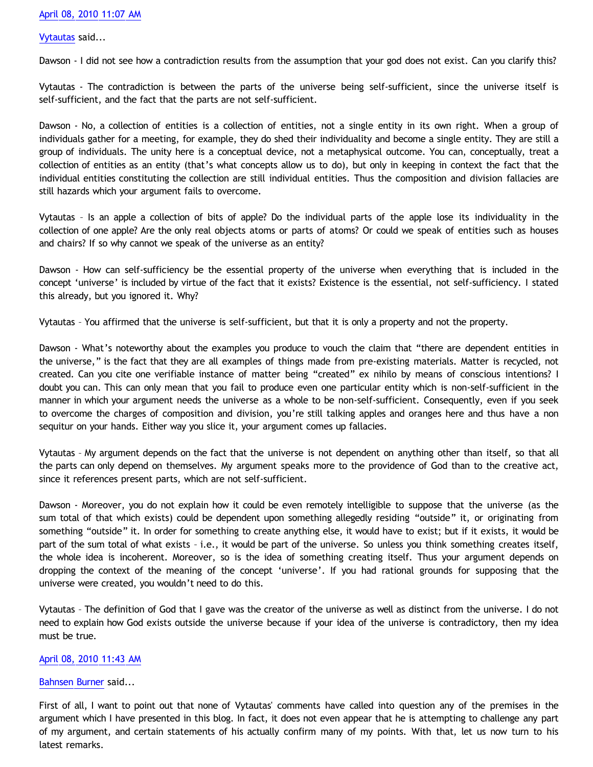### [Vytautas](http://www.blogger.com/profile/10563655929016752682) said...

Dawson - I did not see how a contradiction results from the assumption that your god does not exist. Can you clarify this?

Vytautas - The contradiction is between the parts of the universe being self-sufficient, since the universe itself is self-sufficient, and the fact that the parts are not self-sufficient.

Dawson - No, a collection of entities is a collection of entities, not a single entity in its own right. When a group of individuals gather for a meeting, for example, they do shed their individuality and become a single entity. They are still a group of individuals. The unity here is a conceptual device, not a metaphysical outcome. You can, conceptually, treat a collection of entities as an entity (that's what concepts allow us to do), but only in keeping in context the fact that the individual entities constituting the collection are still individual entities. Thus the composition and division fallacies are still hazards which your argument fails to overcome.

Vytautas – Is an apple a collection of bits of apple? Do the individual parts of the apple lose its individuality in the collection of one apple? Are the only real objects atoms or parts of atoms? Or could we speak of entities such as houses and chairs? If so why cannot we speak of the universe as an entity?

Dawson - How can self-sufficiency be the essential property of the universe when everything that is included in the concept 'universe' is included by virtue of the fact that it exists? Existence is the essential, not self-sufficiency. I stated this already, but you ignored it. Why?

Vytautas – You affirmed that the universe is self-sufficient, but that it is only a property and not the property.

Dawson - What's noteworthy about the examples you produce to vouch the claim that "there are dependent entities in the universe," is the fact that they are all examples of things made from pre-existing materials. Matter is recycled, not created. Can you cite one verifiable instance of matter being "created" ex nihilo by means of conscious intentions? I doubt you can. This can only mean that you fail to produce even one particular entity which is non-self-sufficient in the manner in which your argument needs the universe as a whole to be non-self-sufficient. Consequently, even if you seek to overcome the charges of composition and division, you're still talking apples and oranges here and thus have a non sequitur on your hands. Either way you slice it, your argument comes up fallacies.

Vytautas – My argument depends on the fact that the universe is not dependent on anything other than itself, so that all the parts can only depend on themselves. My argument speaks more to the providence of God than to the creative act, since it references present parts, which are not self-sufficient.

Dawson - Moreover, you do not explain how it could be even remotely intelligible to suppose that the universe (as the sum total of that which exists) could be dependent upon something allegedly residing "outside" it, or originating from something "outside" it. In order for something to create anything else, it would have to exist; but if it exists, it would be part of the sum total of what exists – i.e., it would be part of the universe. So unless you think something creates itself, the whole idea is incoherent. Moreover, so is the idea of something creating itself. Thus your argument depends on dropping the context of the meaning of the concept 'universe'. If you had rational grounds for supposing that the universe were created, you wouldn't need to do this.

Vytautas – The definition of God that I gave was the creator of the universe as well as distinct from the universe. I do not need to explain how God exists outside the universe because if your idea of the universe is contradictory, then my idea must be true.

#### [April 08, 2010 11:43 AM](http://bahnsenburner.blogspot.com/2010/04/4922934053421181487)

#### [Bahnsen Burner](http://www.blogger.com/profile/11030029491768748360) said...

First of all, I want to point out that none of Vytautas' comments have called into question any of the premises in the argument which I have presented in this blog. In fact, it does not even appear that he is attempting to challenge any part of my argument, and certain statements of his actually confirm many of my points. With that, let us now turn to his latest remarks.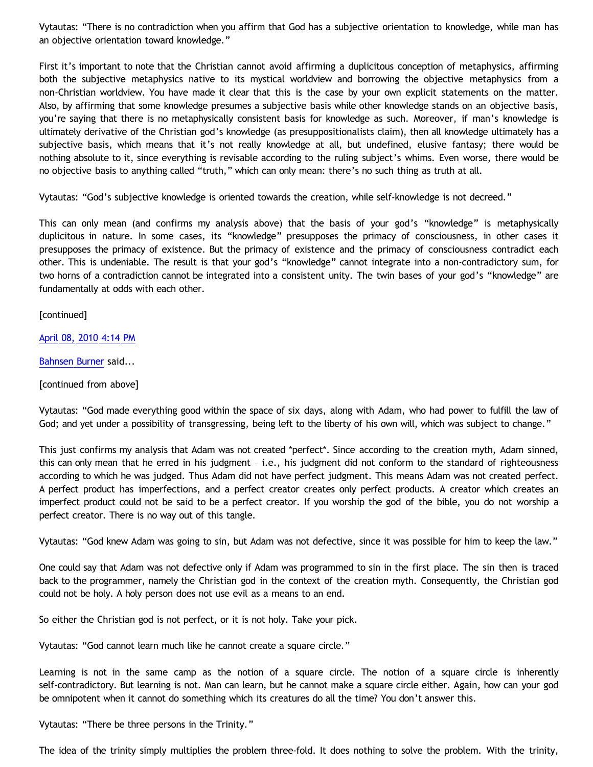Vytautas: "There is no contradiction when you affirm that God has a subjective orientation to knowledge, while man has an objective orientation toward knowledge."

First it's important to note that the Christian cannot avoid affirming a duplicitous conception of metaphysics, affirming both the subjective metaphysics native to its mystical worldview and borrowing the objective metaphysics from a non-Christian worldview. You have made it clear that this is the case by your own explicit statements on the matter. Also, by affirming that some knowledge presumes a subjective basis while other knowledge stands on an objective basis, you're saying that there is no metaphysically consistent basis for knowledge as such. Moreover, if man's knowledge is ultimately derivative of the Christian god's knowledge (as presuppositionalists claim), then all knowledge ultimately has a subjective basis, which means that it's not really knowledge at all, but undefined, elusive fantasy; there would be nothing absolute to it, since everything is revisable according to the ruling subject's whims. Even worse, there would be no objective basis to anything called "truth," which can only mean: there's no such thing as truth at all.

Vytautas: "God's subjective knowledge is oriented towards the creation, while self-knowledge is not decreed."

This can only mean (and confirms my analysis above) that the basis of your god's "knowledge" is metaphysically duplicitous in nature. In some cases, its "knowledge" presupposes the primacy of consciousness, in other cases it presupposes the primacy of existence. But the primacy of existence and the primacy of consciousness contradict each other. This is undeniable. The result is that your god's "knowledge" cannot integrate into a non-contradictory sum, for two horns of a contradiction cannot be integrated into a consistent unity. The twin bases of your god's "knowledge" are fundamentally at odds with each other.

[continued]

[April 08, 2010 4:14 PM](http://bahnsenburner.blogspot.com/2010/04/8094504991066714602)

[Bahnsen Burner](http://www.blogger.com/profile/11030029491768748360) said...

[continued from above]

Vytautas: "God made everything good within the space of six days, along with Adam, who had power to fulfill the law of God; and yet under a possibility of transgressing, being left to the liberty of his own will, which was subject to change."

This just confirms my analysis that Adam was not created \*perfect\*. Since according to the creation myth, Adam sinned, this can only mean that he erred in his judgment – i.e., his judgment did not conform to the standard of righteousness according to which he was judged. Thus Adam did not have perfect judgment. This means Adam was not created perfect. A perfect product has imperfections, and a perfect creator creates only perfect products. A creator which creates an imperfect product could not be said to be a perfect creator. If you worship the god of the bible, you do not worship a perfect creator. There is no way out of this tangle.

Vytautas: "God knew Adam was going to sin, but Adam was not defective, since it was possible for him to keep the law."

One could say that Adam was not defective only if Adam was programmed to sin in the first place. The sin then is traced back to the programmer, namely the Christian god in the context of the creation myth. Consequently, the Christian god could not be holy. A holy person does not use evil as a means to an end.

So either the Christian god is not perfect, or it is not holy. Take your pick.

Vytautas: "God cannot learn much like he cannot create a square circle."

Learning is not in the same camp as the notion of a square circle. The notion of a square circle is inherently self-contradictory. But learning is not. Man can learn, but he cannot make a square circle either. Again, how can your god be omnipotent when it cannot do something which its creatures do all the time? You don't answer this.

Vytautas: "There be three persons in the Trinity."

The idea of the trinity simply multiplies the problem three-fold. It does nothing to solve the problem. With the trinity,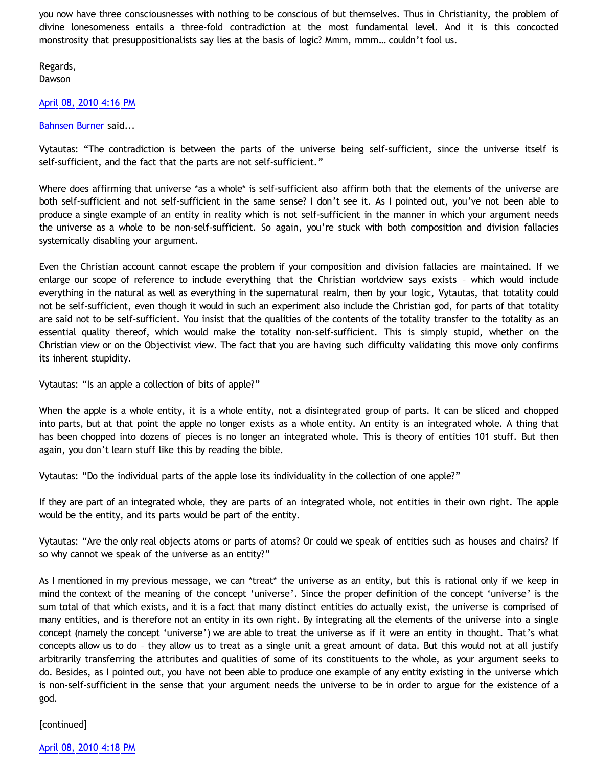you now have three consciousnesses with nothing to be conscious of but themselves. Thus in Christianity, the problem of divine lonesomeness entails a three-fold contradiction at the most fundamental level. And it is this concocted monstrosity that presuppositionalists say lies at the basis of logic? Mmm, mmm… couldn't fool us.

Regards, Dawson

## [April 08, 2010 4:16 PM](http://bahnsenburner.blogspot.com/2010/04/5761693777035697078)

#### [Bahnsen Burner](http://www.blogger.com/profile/11030029491768748360) said...

Vytautas: "The contradiction is between the parts of the universe being self-sufficient, since the universe itself is self-sufficient, and the fact that the parts are not self-sufficient."

Where does affirming that universe \*as a whole\* is self-sufficient also affirm both that the elements of the universe are both self-sufficient and not self-sufficient in the same sense? I don't see it. As I pointed out, you've not been able to produce a single example of an entity in reality which is not self-sufficient in the manner in which your argument needs the universe as a whole to be non-self-sufficient. So again, you're stuck with both composition and division fallacies systemically disabling your argument.

Even the Christian account cannot escape the problem if your composition and division fallacies are maintained. If we enlarge our scope of reference to include everything that the Christian worldview says exists – which would include everything in the natural as well as everything in the supernatural realm, then by your logic, Vytautas, that totality could not be self-sufficient, even though it would in such an experiment also include the Christian god, for parts of that totality are said not to be self-sufficient. You insist that the qualities of the contents of the totality transfer to the totality as an essential quality thereof, which would make the totality non-self-sufficient. This is simply stupid, whether on the Christian view or on the Objectivist view. The fact that you are having such difficulty validating this move only confirms its inherent stupidity.

Vytautas: "Is an apple a collection of bits of apple?"

When the apple is a whole entity, it is a whole entity, not a disintegrated group of parts. It can be sliced and chopped into parts, but at that point the apple no longer exists as a whole entity. An entity is an integrated whole. A thing that has been chopped into dozens of pieces is no longer an integrated whole. This is theory of entities 101 stuff. But then again, you don't learn stuff like this by reading the bible.

Vytautas: "Do the individual parts of the apple lose its individuality in the collection of one apple?"

If they are part of an integrated whole, they are parts of an integrated whole, not entities in their own right. The apple would be the entity, and its parts would be part of the entity.

Vytautas: "Are the only real objects atoms or parts of atoms? Or could we speak of entities such as houses and chairs? If so why cannot we speak of the universe as an entity?"

As I mentioned in my previous message, we can \*treat\* the universe as an entity, but this is rational only if we keep in mind the context of the meaning of the concept 'universe'. Since the proper definition of the concept 'universe' is the sum total of that which exists, and it is a fact that many distinct entities do actually exist, the universe is comprised of many entities, and is therefore not an entity in its own right. By integrating all the elements of the universe into a single concept (namely the concept 'universe') we are able to treat the universe as if it were an entity in thought. That's what concepts allow us to do – they allow us to treat as a single unit a great amount of data. But this would not at all justify arbitrarily transferring the attributes and qualities of some of its constituents to the whole, as your argument seeks to do. Besides, as I pointed out, you have not been able to produce one example of any entity existing in the universe which is non-self-sufficient in the sense that your argument needs the universe to be in order to argue for the existence of a god.

# [continued]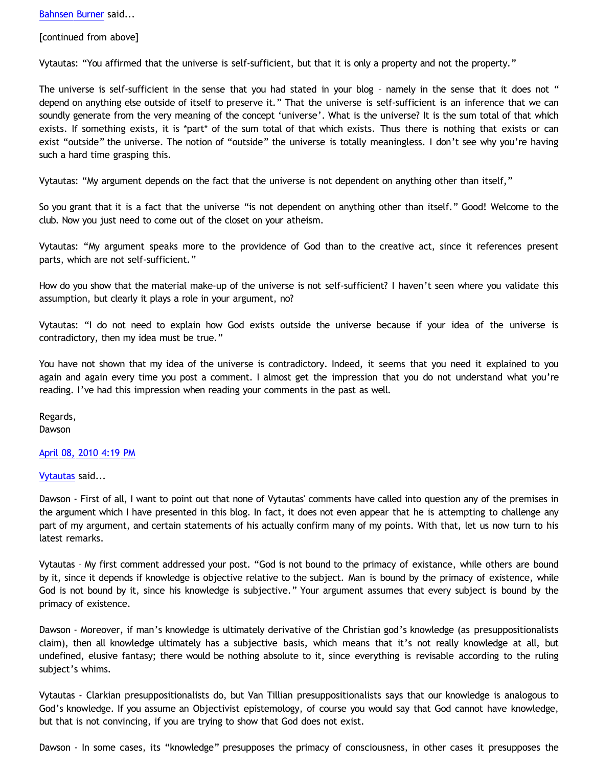[Bahnsen Burner](http://www.blogger.com/profile/11030029491768748360) said...

[continued from above]

Vytautas: "You affirmed that the universe is self-sufficient, but that it is only a property and not the property."

The universe is self-sufficient in the sense that you had stated in your blog - namely in the sense that it does not " depend on anything else outside of itself to preserve it." That the universe is self-sufficient is an inference that we can soundly generate from the very meaning of the concept 'universe'. What is the universe? It is the sum total of that which exists. If something exists, it is \*part\* of the sum total of that which exists. Thus there is nothing that exists or can exist "outside" the universe. The notion of "outside" the universe is totally meaningless. I don't see why you're having such a hard time grasping this.

Vytautas: "My argument depends on the fact that the universe is not dependent on anything other than itself,"

So you grant that it is a fact that the universe "is not dependent on anything other than itself." Good! Welcome to the club. Now you just need to come out of the closet on your atheism.

Vytautas: "My argument speaks more to the providence of God than to the creative act, since it references present parts, which are not self-sufficient."

How do you show that the material make-up of the universe is not self-sufficient? I haven't seen where you validate this assumption, but clearly it plays a role in your argument, no?

Vytautas: "I do not need to explain how God exists outside the universe because if your idea of the universe is contradictory, then my idea must be true."

You have not shown that my idea of the universe is contradictory. Indeed, it seems that you need it explained to you again and again every time you post a comment. I almost get the impression that you do not understand what you're reading. I've had this impression when reading your comments in the past as well.

Regards, **Dawson** 

#### [April 08, 2010 4:19 PM](http://bahnsenburner.blogspot.com/2010/04/1239827662771454790)

[Vytautas](http://www.blogger.com/profile/10563655929016752682) said...

Dawson - First of all, I want to point out that none of Vytautas' comments have called into question any of the premises in the argument which I have presented in this blog. In fact, it does not even appear that he is attempting to challenge any part of my argument, and certain statements of his actually confirm many of my points. With that, let us now turn to his latest remarks.

Vytautas – My first comment addressed your post. "God is not bound to the primacy of existance, while others are bound by it, since it depends if knowledge is objective relative to the subject. Man is bound by the primacy of existence, while God is not bound by it, since his knowledge is subjective." Your argument assumes that every subject is bound by the primacy of existence.

Dawson - Moreover, if man's knowledge is ultimately derivative of the Christian god's knowledge (as presuppositionalists claim), then all knowledge ultimately has a subjective basis, which means that it's not really knowledge at all, but undefined, elusive fantasy; there would be nothing absolute to it, since everything is revisable according to the ruling subject's whims.

Vytautas - Clarkian presuppositionalists do, but Van Tillian presuppositionalists says that our knowledge is analogous to God's knowledge. If you assume an Objectivist epistemology, of course you would say that God cannot have knowledge, but that is not convincing, if you are trying to show that God does not exist.

Dawson - In some cases, its "knowledge" presupposes the primacy of consciousness, in other cases it presupposes the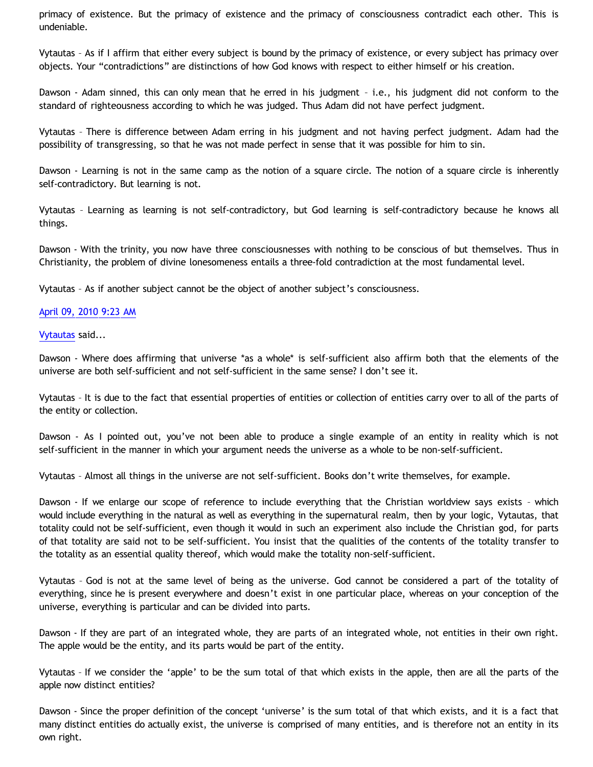primacy of existence. But the primacy of existence and the primacy of consciousness contradict each other. This is undeniable.

Vytautas – As if I affirm that either every subject is bound by the primacy of existence, or every subject has primacy over objects. Your "contradictions" are distinctions of how God knows with respect to either himself or his creation.

Dawson - Adam sinned, this can only mean that he erred in his judgment – i.e., his judgment did not conform to the standard of righteousness according to which he was judged. Thus Adam did not have perfect judgment.

Vytautas – There is difference between Adam erring in his judgment and not having perfect judgment. Adam had the possibility of transgressing, so that he was not made perfect in sense that it was possible for him to sin.

Dawson - Learning is not in the same camp as the notion of a square circle. The notion of a square circle is inherently self-contradictory. But learning is not.

Vytautas – Learning as learning is not self-contradictory, but God learning is self-contradictory because he knows all things.

Dawson - With the trinity, you now have three consciousnesses with nothing to be conscious of but themselves. Thus in Christianity, the problem of divine lonesomeness entails a three-fold contradiction at the most fundamental level.

Vytautas – As if another subject cannot be the object of another subject's consciousness.

## [April 09, 2010 9:23 AM](http://bahnsenburner.blogspot.com/2010/04/7908455125059946988)

[Vytautas](http://www.blogger.com/profile/10563655929016752682) said...

Dawson - Where does affirming that universe \*as a whole\* is self-sufficient also affirm both that the elements of the universe are both self-sufficient and not self-sufficient in the same sense? I don't see it.

Vytautas – It is due to the fact that essential properties of entities or collection of entities carry over to all of the parts of the entity or collection.

Dawson - As I pointed out, you've not been able to produce a single example of an entity in reality which is not self-sufficient in the manner in which your argument needs the universe as a whole to be non-self-sufficient.

Vytautas – Almost all things in the universe are not self-sufficient. Books don't write themselves, for example.

Dawson - If we enlarge our scope of reference to include everything that the Christian worldview says exists – which would include everything in the natural as well as everything in the supernatural realm, then by your logic, Vytautas, that totality could not be self-sufficient, even though it would in such an experiment also include the Christian god, for parts of that totality are said not to be self-sufficient. You insist that the qualities of the contents of the totality transfer to the totality as an essential quality thereof, which would make the totality non-self-sufficient.

Vytautas – God is not at the same level of being as the universe. God cannot be considered a part of the totality of everything, since he is present everywhere and doesn't exist in one particular place, whereas on your conception of the universe, everything is particular and can be divided into parts.

Dawson - If they are part of an integrated whole, they are parts of an integrated whole, not entities in their own right. The apple would be the entity, and its parts would be part of the entity.

Vytautas – If we consider the 'apple' to be the sum total of that which exists in the apple, then are all the parts of the apple now distinct entities?

Dawson - Since the proper definition of the concept 'universe' is the sum total of that which exists, and it is a fact that many distinct entities do actually exist, the universe is comprised of many entities, and is therefore not an entity in its own right.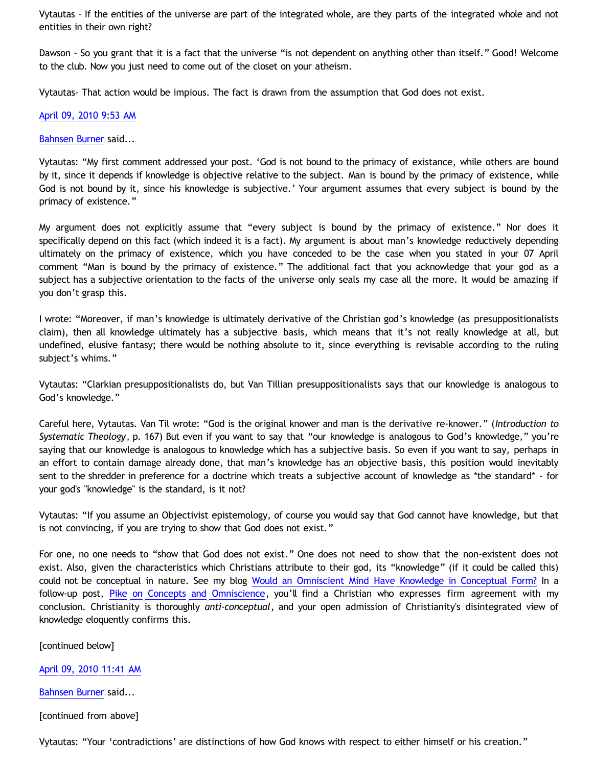Vytautas – If the entities of the universe are part of the integrated whole, are they parts of the integrated whole and not entities in their own right?

Dawson - So you grant that it is a fact that the universe "is not dependent on anything other than itself." Good! Welcome to the club. Now you just need to come out of the closet on your atheism.

Vytautas- That action would be impious. The fact is drawn from the assumption that God does not exist.

[April 09, 2010 9:53 AM](http://bahnsenburner.blogspot.com/2010/04/3684136989143078119)

[Bahnsen Burner](http://www.blogger.com/profile/11030029491768748360) said...

Vytautas: "My first comment addressed your post. 'God is not bound to the primacy of existance, while others are bound by it, since it depends if knowledge is objective relative to the subject. Man is bound by the primacy of existence, while God is not bound by it, since his knowledge is subjective.' Your argument assumes that every subject is bound by the primacy of existence."

My argument does not explicitly assume that "every subject is bound by the primacy of existence." Nor does it specifically depend on this fact (which indeed it is a fact). My argument is about man's knowledge reductively depending ultimately on the primacy of existence, which you have conceded to be the case when you stated in your 07 April comment "Man is bound by the primacy of existence." The additional fact that you acknowledge that your god as a subject has a subjective orientation to the facts of the universe only seals my case all the more. It would be amazing if you don't grasp this.

I wrote: "Moreover, if man's knowledge is ultimately derivative of the Christian god's knowledge (as presuppositionalists claim), then all knowledge ultimately has a subjective basis, which means that it's not really knowledge at all, but undefined, elusive fantasy; there would be nothing absolute to it, since everything is revisable according to the ruling subject's whims."

Vytautas: "Clarkian presuppositionalists do, but Van Tillian presuppositionalists says that our knowledge is analogous to God's knowledge."

Careful here, Vytautas. Van Til wrote: "God is the original knower and man is the derivative re-knower." (*Introduction to Systematic Theology*, p. 167) But even if you want to say that "our knowledge is analogous to God's knowledge," you're saying that our knowledge is analogous to knowledge which has a subjective basis. So even if you want to say, perhaps in an effort to contain damage already done, that man's knowledge has an objective basis, this position would inevitably sent to the shredder in preference for a doctrine which treats a subjective account of knowledge as \*the standard\* - for your god's "knowledge" is the standard, is it not?

Vytautas: "If you assume an Objectivist epistemology, of course you would say that God cannot have knowledge, but that is not convincing, if you are trying to show that God does not exist."

For one, no one needs to "show that God does not exist." One does not need to show that the non-existent does not exist. Also, given the characteristics which Christians attribute to their god, its "knowledge" (if it could be called this) could not be conceptual in nature. See my blog [Would an Omniscient Mind Have Knowledge in Conceptual Form?](http://bahnsenburner.blogspot.com/2007/04/would-omniscient-mind-have-knowledge-in.html) In a follow-up post, [Pike on Concepts and Omniscience](http://bahnsenburner.blogspot.com/2007/04/pike-on-concepts-and-omniscience.html), you'll find a Christian who expresses firm agreement with my conclusion. Christianity is thoroughly *anti-conceptual*, and your open admission of Christianity's disintegrated view of knowledge eloquently confirms this.

[continued below]

[April 09, 2010 11:41 AM](http://bahnsenburner.blogspot.com/2010/04/2324269487946699633)

[Bahnsen Burner](http://www.blogger.com/profile/11030029491768748360) said...

[continued from above]

Vytautas: "Your 'contradictions' are distinctions of how God knows with respect to either himself or his creation."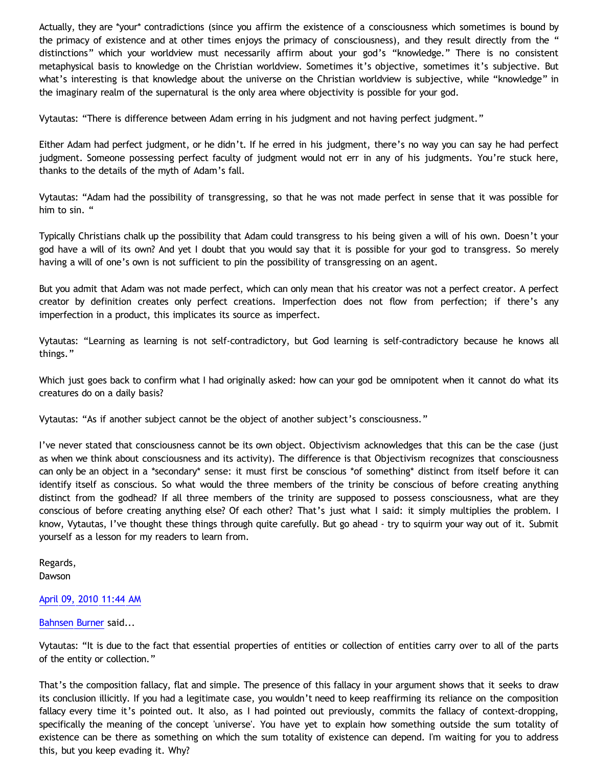Actually, they are \*your\* contradictions (since you affirm the existence of a consciousness which sometimes is bound by the primacy of existence and at other times enjoys the primacy of consciousness), and they result directly from the " distinctions" which your worldview must necessarily affirm about your god's "knowledge." There is no consistent metaphysical basis to knowledge on the Christian worldview. Sometimes it's objective, sometimes it's subjective. But what's interesting is that knowledge about the universe on the Christian worldview is subjective, while "knowledge" in the imaginary realm of the supernatural is the only area where objectivity is possible for your god.

Vytautas: "There is difference between Adam erring in his judgment and not having perfect judgment."

Either Adam had perfect judgment, or he didn't. If he erred in his judgment, there's no way you can say he had perfect judgment. Someone possessing perfect faculty of judgment would not err in any of his judgments. You're stuck here, thanks to the details of the myth of Adam's fall.

Vytautas: "Adam had the possibility of transgressing, so that he was not made perfect in sense that it was possible for him to sin. "

Typically Christians chalk up the possibility that Adam could transgress to his being given a will of his own. Doesn't your god have a will of its own? And yet I doubt that you would say that it is possible for your god to transgress. So merely having a will of one's own is not sufficient to pin the possibility of transgressing on an agent.

But you admit that Adam was not made perfect, which can only mean that his creator was not a perfect creator. A perfect creator by definition creates only perfect creations. Imperfection does not flow from perfection; if there's any imperfection in a product, this implicates its source as imperfect.

Vytautas: "Learning as learning is not self-contradictory, but God learning is self-contradictory because he knows all things."

Which just goes back to confirm what I had originally asked: how can your god be omnipotent when it cannot do what its creatures do on a daily basis?

Vytautas: "As if another subject cannot be the object of another subject's consciousness."

I've never stated that consciousness cannot be its own object. Objectivism acknowledges that this can be the case (just as when we think about consciousness and its activity). The difference is that Objectivism recognizes that consciousness can only be an object in a \*secondary\* sense: it must first be conscious \*of something\* distinct from itself before it can identify itself as conscious. So what would the three members of the trinity be conscious of before creating anything distinct from the godhead? If all three members of the trinity are supposed to possess consciousness, what are they conscious of before creating anything else? Of each other? That's just what I said: it simply multiplies the problem. I know, Vytautas, I've thought these things through quite carefully. But go ahead - try to squirm your way out of it. Submit yourself as a lesson for my readers to learn from.

Regards, Dawson

# [April 09, 2010 11:44 AM](http://bahnsenburner.blogspot.com/2010/04/2131873813690317283)

# [Bahnsen Burner](http://www.blogger.com/profile/11030029491768748360) said...

Vytautas: "It is due to the fact that essential properties of entities or collection of entities carry over to all of the parts of the entity or collection."

That's the composition fallacy, flat and simple. The presence of this fallacy in your argument shows that it seeks to draw its conclusion illicitly. If you had a legitimate case, you wouldn't need to keep reaffirming its reliance on the composition fallacy every time it's pointed out. It also, as I had pointed out previously, commits the fallacy of context-dropping, specifically the meaning of the concept 'universe'. You have yet to explain how something outside the sum totality of existence can be there as something on which the sum totality of existence can depend. I'm waiting for you to address this, but you keep evading it. Why?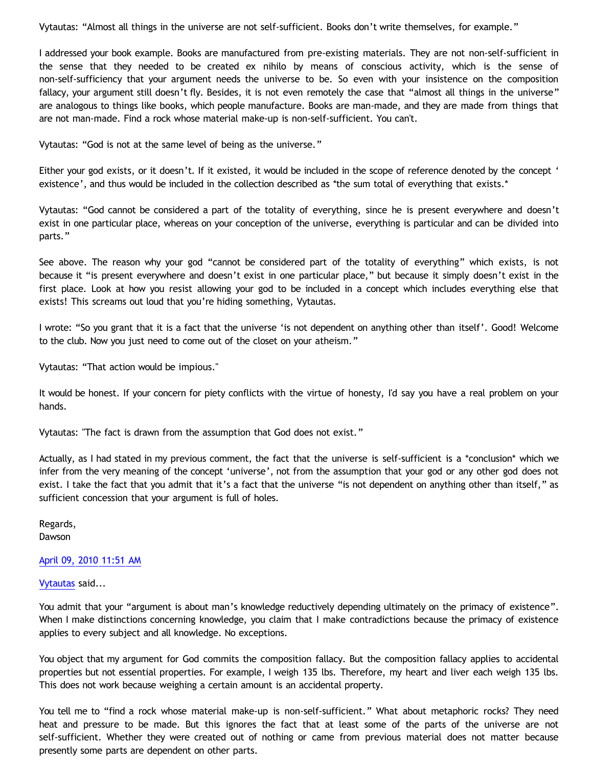Vytautas: "Almost all things in the universe are not self-sufficient. Books don't write themselves, for example."

I addressed your book example. Books are manufactured from pre-existing materials. They are not non-self-sufficient in the sense that they needed to be created ex nihilo by means of conscious activity, which is the sense of non-self-sufficiency that your argument needs the universe to be. So even with your insistence on the composition fallacy, your argument still doesn't fly. Besides, it is not even remotely the case that "almost all things in the universe" are analogous to things like books, which people manufacture. Books are man-made, and they are made from things that are not man-made. Find a rock whose material make-up is non-self-sufficient. You can't.

Vytautas: "God is not at the same level of being as the universe."

Either your god exists, or it doesn't. If it existed, it would be included in the scope of reference denoted by the concept ' existence', and thus would be included in the collection described as \*the sum total of everything that exists.\*

Vytautas: "God cannot be considered a part of the totality of everything, since he is present everywhere and doesn't exist in one particular place, whereas on your conception of the universe, everything is particular and can be divided into parts."

See above. The reason why your god "cannot be considered part of the totality of everything" which exists, is not because it "is present everywhere and doesn't exist in one particular place," but because it simply doesn't exist in the first place. Look at how you resist allowing your god to be included in a concept which includes everything else that exists! This screams out loud that you're hiding something, Vytautas.

I wrote: "So you grant that it is a fact that the universe 'is not dependent on anything other than itself'. Good! Welcome to the club. Now you just need to come out of the closet on your atheism."

Vytautas: "That action would be impious."

It would be honest. If your concern for piety conflicts with the virtue of honesty, I'd say you have a real problem on your hands.

Vytautas: "The fact is drawn from the assumption that God does not exist."

Actually, as I had stated in my previous comment, the fact that the universe is self-sufficient is a \*conclusion\* which we infer from the very meaning of the concept 'universe', not from the assumption that your god or any other god does not exist. I take the fact that you admit that it's a fact that the universe "is not dependent on anything other than itself," as sufficient concession that your argument is full of holes.

Regards, Dawson

# [April 09, 2010 11:51 AM](http://bahnsenburner.blogspot.com/2010/04/5431000433244679469)

#### [Vytautas](http://www.blogger.com/profile/10563655929016752682) said...

You admit that your "argument is about man's knowledge reductively depending ultimately on the primacy of existence". When I make distinctions concerning knowledge, you claim that I make contradictions because the primacy of existence applies to every subject and all knowledge. No exceptions.

You object that my argument for God commits the composition fallacy. But the composition fallacy applies to accidental properties but not essential properties. For example, I weigh 135 lbs. Therefore, my heart and liver each weigh 135 lbs. This does not work because weighing a certain amount is an accidental property.

You tell me to "find a rock whose material make-up is non-self-sufficient." What about metaphoric rocks? They need heat and pressure to be made. But this ignores the fact that at least some of the parts of the universe are not self-sufficient. Whether they were created out of nothing or came from previous material does not matter because presently some parts are dependent on other parts.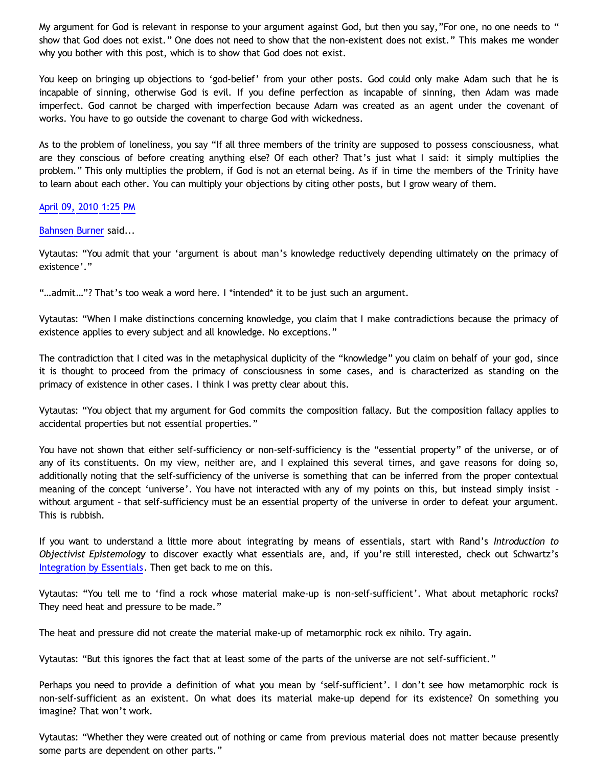My argument for God is relevant in response to your argument against God, but then you say,"For one, no one needs to " show that God does not exist." One does not need to show that the non-existent does not exist." This makes me wonder why you bother with this post, which is to show that God does not exist.

You keep on bringing up objections to 'god-belief' from your other posts. God could only make Adam such that he is incapable of sinning, otherwise God is evil. If you define perfection as incapable of sinning, then Adam was made imperfect. God cannot be charged with imperfection because Adam was created as an agent under the covenant of works. You have to go outside the covenant to charge God with wickedness.

As to the problem of loneliness, you say "If all three members of the trinity are supposed to possess consciousness, what are they conscious of before creating anything else? Of each other? That's just what I said: it simply multiplies the problem." This only multiplies the problem, if God is not an eternal being. As if in time the members of the Trinity have to learn about each other. You can multiply your objections by citing other posts, but I grow weary of them.

## [April 09, 2010 1:25 PM](http://bahnsenburner.blogspot.com/2010/04/453263451610359792)

## [Bahnsen Burner](http://www.blogger.com/profile/11030029491768748360) said...

Vytautas: "You admit that your 'argument is about man's knowledge reductively depending ultimately on the primacy of existence'."

"...admit..."? That's too weak a word here. I \*intended\* it to be just such an argument.

Vytautas: "When I make distinctions concerning knowledge, you claim that I make contradictions because the primacy of existence applies to every subject and all knowledge. No exceptions."

The contradiction that I cited was in the metaphysical duplicity of the "knowledge" you claim on behalf of your god, since it is thought to proceed from the primacy of consciousness in some cases, and is characterized as standing on the primacy of existence in other cases. I think I was pretty clear about this.

Vytautas: "You object that my argument for God commits the composition fallacy. But the composition fallacy applies to accidental properties but not essential properties."

You have not shown that either self-sufficiency or non-self-sufficiency is the "essential property" of the universe, or of any of its constituents. On my view, neither are, and I explained this several times, and gave reasons for doing so, additionally noting that the self-sufficiency of the universe is something that can be inferred from the proper contextual meaning of the concept 'universe'. You have not interacted with any of my points on this, but instead simply insist – without argument – that self-sufficiency must be an essential property of the universe in order to defeat your argument. This is rubbish.

If you want to understand a little more about integrating by means of essentials, start with Rand's *Introduction to Objectivist Epistemology* to discover exactly what essentials are, and, if you're still interested, check out Schwartz's [Integration by Essentials](http://www.aynrandbookstore2.com/prodinfo.asp?number=CS50M). Then get back to me on this.

Vytautas: "You tell me to 'find a rock whose material make-up is non-self-sufficient'. What about metaphoric rocks? They need heat and pressure to be made."

The heat and pressure did not create the material make-up of metamorphic rock ex nihilo. Try again.

Vytautas: "But this ignores the fact that at least some of the parts of the universe are not self-sufficient."

Perhaps you need to provide a definition of what you mean by 'self-sufficient'. I don't see how metamorphic rock is non-self-sufficient as an existent. On what does its material make-up depend for its existence? On something you imagine? That won't work.

Vytautas: "Whether they were created out of nothing or came from previous material does not matter because presently some parts are dependent on other parts."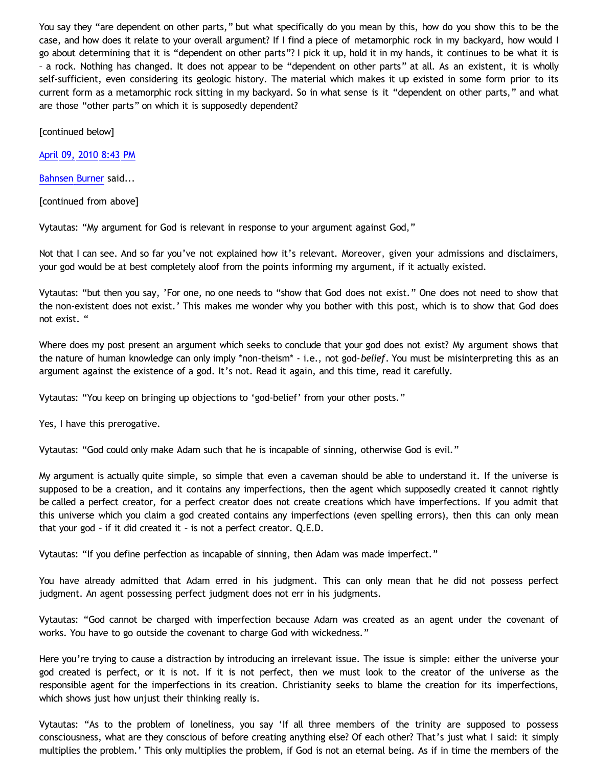You say they "are dependent on other parts," but what specifically do you mean by this, how do you show this to be the case, and how does it relate to your overall argument? If I find a piece of metamorphic rock in my backyard, how would I go about determining that it is "dependent on other parts"? I pick it up, hold it in my hands, it continues to be what it is – a rock. Nothing has changed. It does not appear to be "dependent on other parts" at all. As an existent, it is wholly self-sufficient, even considering its geologic history. The material which makes it up existed in some form prior to its current form as a metamorphic rock sitting in my backyard. So in what sense is it "dependent on other parts," and what are those "other parts" on which it is supposedly dependent?

[continued below]

[April 09, 2010 8:43 PM](http://bahnsenburner.blogspot.com/2010/04/340419608250307896)

[Bahnsen Burner](http://www.blogger.com/profile/11030029491768748360) said...

[continued from above]

Vytautas: "My argument for God is relevant in response to your argument against God,"

Not that I can see. And so far you've not explained how it's relevant. Moreover, given your admissions and disclaimers, your god would be at best completely aloof from the points informing my argument, if it actually existed.

Vytautas: "but then you say, 'For one, no one needs to "show that God does not exist." One does not need to show that the non-existent does not exist.' This makes me wonder why you bother with this post, which is to show that God does not exist. "

Where does my post present an argument which seeks to conclude that your god does not exist? My argument shows that the nature of human knowledge can only imply \*non-theism\* - i.e., not god-*belief*. You must be misinterpreting this as an argument against the existence of a god. It's not. Read it again, and this time, read it carefully.

Vytautas: "You keep on bringing up objections to 'god-belief' from your other posts."

Yes, I have this prerogative.

Vytautas: "God could only make Adam such that he is incapable of sinning, otherwise God is evil."

My argument is actually quite simple, so simple that even a caveman should be able to understand it. If the universe is supposed to be a creation, and it contains any imperfections, then the agent which supposedly created it cannot rightly be called a perfect creator, for a perfect creator does not create creations which have imperfections. If you admit that this universe which you claim a god created contains any imperfections (even spelling errors), then this can only mean that your god – if it did created it – is not a perfect creator. Q.E.D.

Vytautas: "If you define perfection as incapable of sinning, then Adam was made imperfect."

You have already admitted that Adam erred in his judgment. This can only mean that he did not possess perfect judgment. An agent possessing perfect judgment does not err in his judgments.

Vytautas: "God cannot be charged with imperfection because Adam was created as an agent under the covenant of works. You have to go outside the covenant to charge God with wickedness."

Here you're trying to cause a distraction by introducing an irrelevant issue. The issue is simple: either the universe your god created is perfect, or it is not. If it is not perfect, then we must look to the creator of the universe as the responsible agent for the imperfections in its creation. Christianity seeks to blame the creation for its imperfections, which shows just how unjust their thinking really is.

Vytautas: "As to the problem of loneliness, you say 'If all three members of the trinity are supposed to possess consciousness, what are they conscious of before creating anything else? Of each other? That's just what I said: it simply multiplies the problem.' This only multiplies the problem, if God is not an eternal being. As if in time the members of the